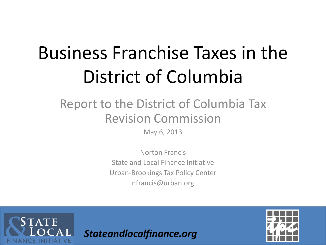# Business Franchise Taxes in the District of Columbia

### Report to the District of Columbia Tax Revision Commission

May 6, 2013

Norton Francis State and Local Finance Initiative Urban-Brookings Tax Policy Center nfrancis@urban.org



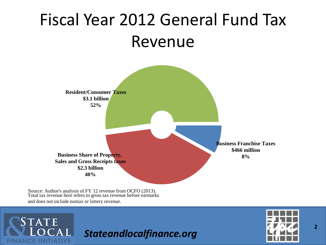### Fiscal Year 2012 General Fund Tax Revenue



Source: Author's analysis of FY 12 revenue from OCFO (2013). Total tax revenue here refers to gross tax revenue before earmarks and does not include nontax or lottery revenue.

**STATE** 

**CE INITIATIVE** 

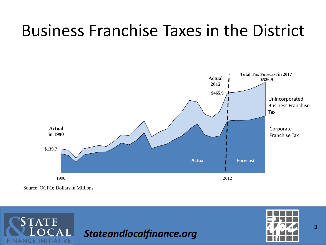### Business Franchise Taxes in the District



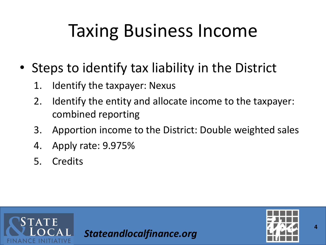## Taxing Business Income

- Steps to identify tax liability in the District
	- 1. Identify the taxpayer: Nexus
	- 2. Identify the entity and allocate income to the taxpayer: combined reporting
	- 3. Apportion income to the District: Double weighted sales
	- 4. Apply rate: 9.975%
	- 5. Credits



*Stateandlocalfinance.org*



**4**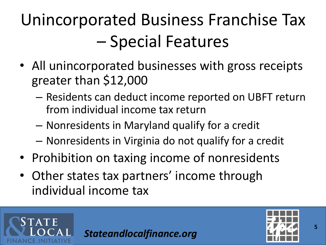## Unincorporated Business Franchise Tax – Special Features

- All unincorporated businesses with gross receipts greater than \$12,000
	- Residents can deduct income reported on UBFT return from individual income tax return
	- Nonresidents in Maryland qualify for a credit
	- Nonresidents in Virginia do not qualify for a credit
- Prohibition on taxing income of nonresidents
- Other states tax partners' income through individual income tax



TATE

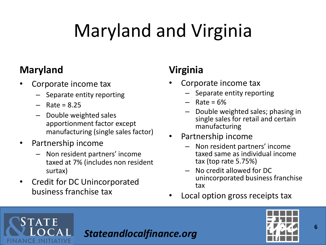# Maryland and Virginia

#### **Maryland**

**STATE** 

**ANCE INITIATIVE** 

- Corporate income tax
	- Separate entity reporting
	- $-$  Rate = 8.25
	- Double weighted sales apportionment factor except manufacturing (single sales factor)
- Partnership income
	- Non resident partners' income taxed at 7% (includes non resident surtax)
- Credit for DC Unincorporated business franchise tax

### **Virginia**

- Corporate income tax
	- Separate entity reporting
	- $Rate = 6%$
	- Double weighted sales; phasing in single sales for retail and certain manufacturing
- Partnership income
	- Non resident partners' income taxed same as individual income tax (top rate 5.75%)
	- No credit allowed for DC unincorporated business franchise tax
- Local option gross receipts tax



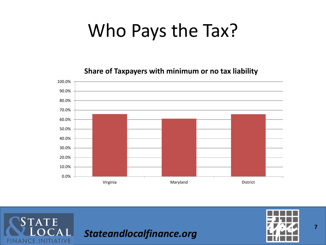## Who Pays the Tax?

**Share of Taxpayers with minimum or no tax liability**



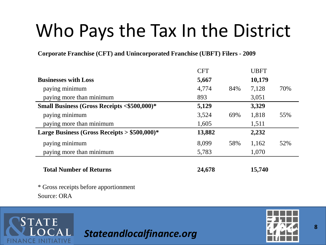### Who Pays the Tax In the District

**Corporate Franchise (CFT) and Unincorporated Franchise (UBFT) Filers - 2009**

|                                                       | <b>CFT</b> |     | <b>UBFT</b> |     |
|-------------------------------------------------------|------------|-----|-------------|-----|
| <b>Businesses with Loss</b>                           | 5,667      |     | 10,179      |     |
| paying minimum                                        | 4,774      | 84% | 7,128       | 70% |
| paying more than minimum                              | 893        |     | 3,051       |     |
| <b>Small Business (Gross Receipts &lt;\$500,000)*</b> | 5,129      |     | 3,329       |     |
| paying minimum                                        | 3,524      | 69% | 1,818       | 55% |
| paying more than minimum                              | 1,605      |     | 1,511       |     |
| Large Business (Gross Receipts $> $500,000$ )*        | 13,882     |     | 2,232       |     |
| paying minimum                                        | 8,099      | 58% | 1,162       | 52% |
| paying more than minimum                              | 5,783      |     | 1,070       |     |
| <b>Total Number of Returns</b>                        | 24,678     |     | 15,740      |     |

\* Gross receipts before apportionment Source: ORA

**STATE** 

**JANCE INITIATIVE** 

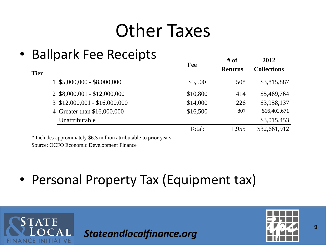### Other Taxes

### • Ballpark Fee Receipts

| <b>Tier</b> | Danparis r co rioccipio         | Fee      | # of<br><b>Returns</b> | 2012<br><b>Collections</b> |
|-------------|---------------------------------|----------|------------------------|----------------------------|
|             | $1$ \$5,000,000 - \$8,000,000   | \$5,500  | 508                    | \$3,815,887                |
|             | 2 \$8,000,001 - \$12,000,000    | \$10,800 | 414                    | \$5,469,764                |
|             | $3$ \$12,000,001 - \$16,000,000 | \$14,000 | 226                    | \$3,958,137                |
|             | 4 Greater than \$16,000,000     | \$16,500 | 807                    | \$16,402,671               |
|             | Unattributable                  |          |                        | \$3,015,453                |
|             |                                 | Total:   | 1,955                  | \$32,661,912               |
|             |                                 |          |                        |                            |

\* Includes approximately \$6.3 million attributable to prior years

Source: OCFO Economic Development Finance

**STATE** 

ANCE INITIATIVE

• Personal Property Tax (Equipment tax)

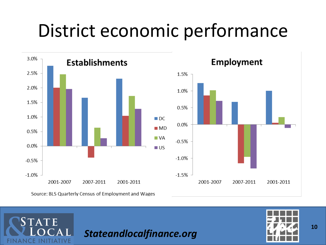## District economic performance



Source: BLS Quarterly Census of Employment and Wages

**TATE** 

**FINANCE INITIATIVE** 

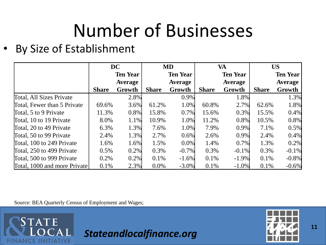## Number of Businesses

• By Size of Establishment

|                              | <b>DC</b>    |                 | <b>MD</b>    |                 | <b>VA</b>    |                 | <b>US</b>    |                 |
|------------------------------|--------------|-----------------|--------------|-----------------|--------------|-----------------|--------------|-----------------|
|                              |              | <b>Ten Year</b> |              | <b>Ten Year</b> |              | <b>Ten Year</b> |              | <b>Ten Year</b> |
|                              |              | <b>Average</b>  |              | <b>Average</b>  |              | <b>Average</b>  |              | <b>Average</b>  |
|                              | <b>Share</b> | Growth          | <b>Share</b> | Growth          | <b>Share</b> | Growth          | <b>Share</b> | Growth          |
| Total, All Sizes Private     |              | 2.8%            |              | 0.9%            |              | 1.8%            |              | 1.3%            |
| Total, Fewer than 5 Private  | 69.6%        | $3.6\%$         | 61.2%        | 1.0%            | 60.8%        | 2.7%            | 62.6%        | 1.8%            |
| Total, 5 to 9 Private        | 11.3%        | $0.8\%$         | 15.8%        | 0.7%            | 15.6%        | 0.3%            | 15.5%        | 0.4%            |
| Total, 10 to 19 Private      | 8.0%         | 1.1%            | 10.9%        | 1.0%            | 11.2%        | 0.8%            | 10.5%        | 0.8%            |
| Total, 20 to 49 Private      | 6.3%         | 1.3%            | 7.6%         | 1.0%            | 7.9%         | 0.9%            | 7.1%         | 0.5%            |
| Total, 50 to 99 Private      | 2.4%         | 1.3%            | 2.7%         | $0.6\%$         | 2.6%         | 0.9%            | 2.4%         | 0.4%            |
| Total, 100 to 249 Private    | 1.6%         | 1.6%            | 1.5%         | 0.0%            | 1.4%         | 0.7%            | 1.3%         | 0.2%            |
| Total, 250 to 499 Private    | 0.5%         | $0.2\%$         | 0.3%         | $-0.7%$         | 0.3%         | $-0.1%$         | 0.3%         | $-0.1\%$        |
| Total, 500 to 999 Private    | 0.2%         | $0.2\%$         | $0.1\%$      | $-1.6%$         | $0.1\%$      | $-1.9%$         | $0.1\%$      | $-0.8\%$        |
| Total, 1000 and more Private | 0.1%         | 2.3%            | $0.0\%$      | $-3.0\%$        | 0.1%         | $-1.0%$         | 0.1%         | $-0.6%$         |

Source: BEA Quarterly Census of Employment and Wages;

**STATE** 

**FINANCE INITIATIVE** 

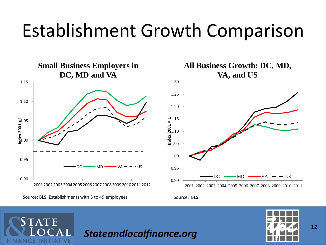### Establishment Growth Comparison





**TATE** 

**CE INITIATIVE** 

Source: BLS

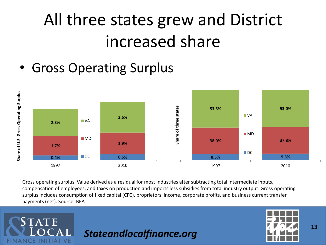### All three states grew and District increased share

• Gross Operating Surplus

**STATE** 

ANCE INITIATIVE



Gross operating surplus. Value derived as a residual for most industries after subtracting total intermediate inputs, compensation of employees, and taxes on production and imports less subsidies from total industry output. Gross operating surplus includes consumption of fixed capital (CFC), proprietors' income, corporate profits, and business current transfer payments (net). Source: BEA